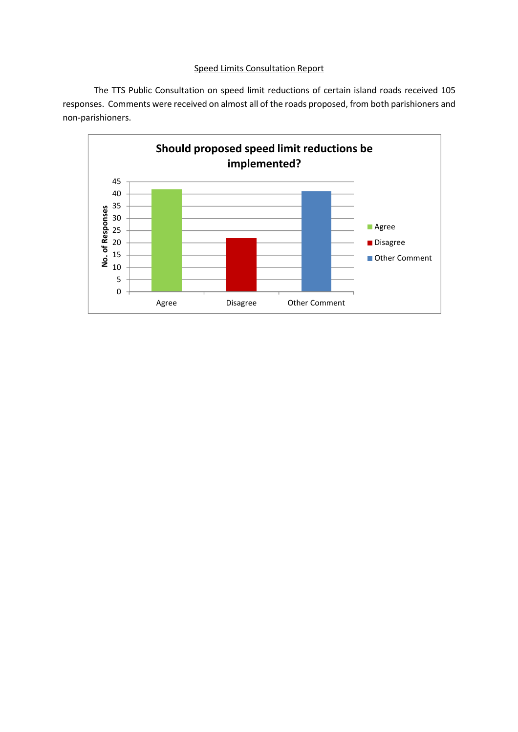## Speed Limits Consultation Report

 The TTS Public Consultation on speed limit reductions of certain island roads received 105 responses. Comments were received on almost all of the roads proposed, from both parishioners and non-parishioners.

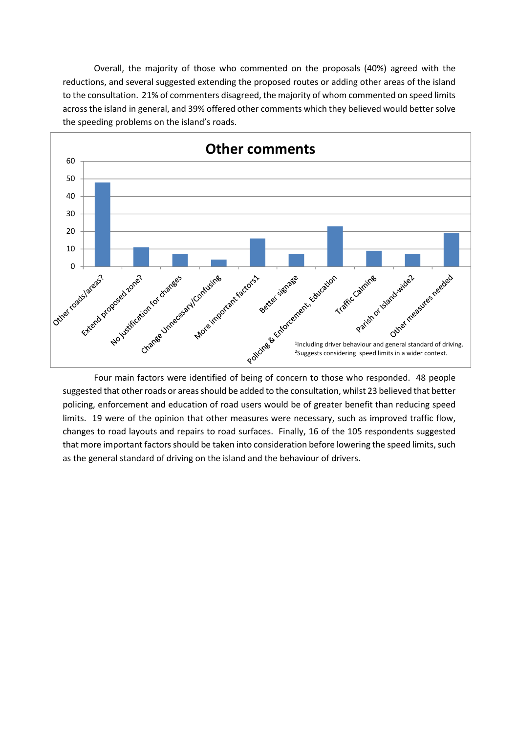Overall, the majority of those who commented on the proposals (40%) agreed with the reductions, and several suggested extending the proposed routes or adding other areas of the island to the consultation. 21% of commenters disagreed, the majority of whom commented on speed limits across the island in general, and 39% offered other comments which they believed would better solve the speeding problems on the island's roads.



Four main factors were identified of being of concern to those who responded. 48 people suggested that other roads or areas should be added to the consultation, whilst 23 believed that better policing, enforcement and education of road users would be of greater benefit than reducing speed limits. 19 were of the opinion that other measures were necessary, such as improved traffic flow, changes to road layouts and repairs to road surfaces. Finally, 16 of the 105 respondents suggested that more important factors should be taken into consideration before lowering the speed limits, such as the general standard of driving on the island and the behaviour of drivers.